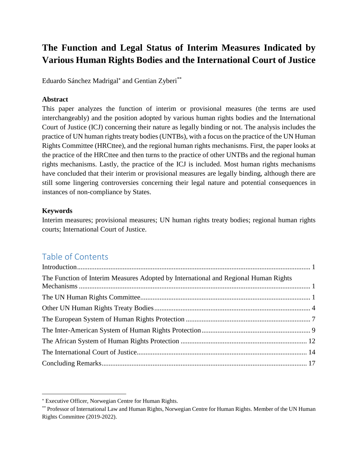# **The Function and Legal Status of Interim Measures Indicated by Various Human Rights Bodies and the International Court of Justice**

Eduardo Sánchez Madrigal<sup>\*</sup> and Gentian Zyberi<sup>\*\*</sup>

#### **Abstract**

This paper analyzes the function of interim or provisional measures (the terms are used interchangeably) and the position adopted by various human rights bodies and the International Court of Justice (ICJ) concerning their nature as legally binding or not. The analysis includes the practice of UN human rights treaty bodies (UNTBs), with a focus on the practice of the UN Human Rights Committee (HRCttee), and the regional human rights mechanisms. First, the paper looks at the practice of the HRCttee and then turns to the practice of other UNTBs and the regional human rights mechanisms. Lastly, the practice of the ICJ is included. Most human rights mechanisms have concluded that their interim or provisional measures are legally binding, although there are still some lingering controversies concerning their legal nature and potential consequences in instances of non-compliance by States.

#### **Keywords**

 $\overline{a}$ 

Interim measures; provisional measures; UN human rights treaty bodies; regional human rights courts; International Court of Justice.

## Table of Contents

| The Function of Interim Measures Adopted by International and Regional Human Rights |  |
|-------------------------------------------------------------------------------------|--|
|                                                                                     |  |
|                                                                                     |  |
|                                                                                     |  |
|                                                                                     |  |
|                                                                                     |  |
|                                                                                     |  |
|                                                                                     |  |

Executive Officer, Norwegian Centre for Human Rights.

<sup>\*\*</sup> Professor of International Law and Human Rights, Norwegian Centre for Human Rights. Member of the UN Human Rights Committee (2019-2022).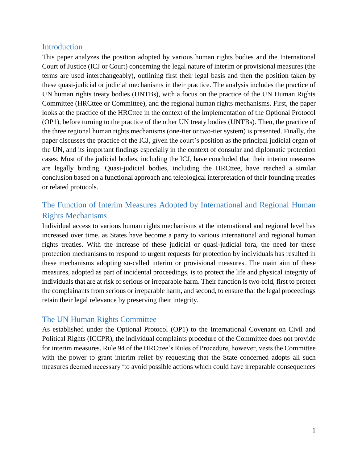### <span id="page-1-0"></span>Introduction

This paper analyzes the position adopted by various human rights bodies and the International Court of Justice (ICJ or Court) concerning the legal nature of interim or provisional measures (the terms are used interchangeably), outlining first their legal basis and then the position taken by these quasi-judicial or judicial mechanisms in their practice. The analysis includes the practice of UN human rights treaty bodies (UNTBs), with a focus on the practice of the UN Human Rights Committee (HRCttee or Committee), and the regional human rights mechanisms. First, the paper looks at the practice of the HRCttee in the context of the implementation of the Optional Protocol (OP1), before turning to the practice of the other UN treaty bodies (UNTBs). Then, the practice of the three regional human rights mechanisms (one-tier or two-tier system) is presented. Finally, the paper discusses the practice of the ICJ, given the court's position as the principal judicial organ of the UN, and its important findings especially in the context of consular and diplomatic protection cases. Most of the judicial bodies, including the ICJ, have concluded that their interim measures are legally binding. Quasi-judicial bodies, including the HRCttee, have reached a similar conclusion based on a functional approach and teleological interpretation of their founding treaties or related protocols.

## <span id="page-1-1"></span>The Function of Interim Measures Adopted by International and Regional Human Rights Mechanisms

Individual access to various human rights mechanisms at the international and regional level has increased over time, as States have become a party to various international and regional human rights treaties. With the increase of these judicial or quasi-judicial fora, the need for these protection mechanisms to respond to urgent requests for protection by individuals has resulted in these mechanisms adopting so-called interim or provisional measures. The main aim of these measures, adopted as part of incidental proceedings, is to protect the life and physical integrity of individuals that are at risk of serious or irreparable harm. Their function is two-fold, first to protect the complainants from serious or irreparable harm, and second, to ensure that the legal proceedings retain their legal relevance by preserving their integrity.

### <span id="page-1-2"></span>The UN Human Rights Committee

As established under the Optional Protocol (OP1) to the International Covenant on Civil and Political Rights (ICCPR), the individual complaints procedure of the Committee does not provide for interim measures. Rule 94 of the HRCttee's Rules of Procedure, however, vests the Committee with the power to grant interim relief by requesting that the State concerned adopts all such measures deemed necessary 'to avoid possible actions which could have irreparable consequences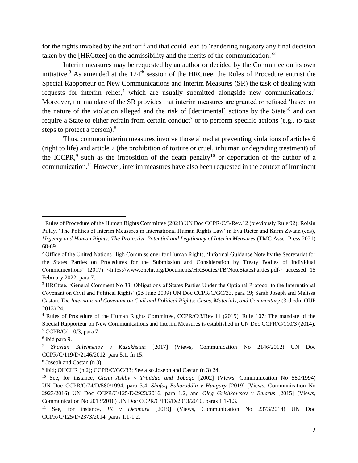for the rights invoked by the author<sup>1</sup> and that could lead to 'rendering nugatory any final decision taken by the [HRCttee] on the admissibility and the merits of the communication.'<sup>2</sup>

Interim measures may be requested by an author or decided by the Committee on its own initiative.<sup>3</sup> As amended at the 124<sup>th</sup> session of the HRCttee, the Rules of Procedure entrust the Special Rapporteur on New Communications and Interim Measures (SR) the task of dealing with requests for interim relief,<sup>4</sup> which are usually submitted alongside new communications.<sup>5</sup> Moreover, the mandate of the SR provides that interim measures are granted or refused 'based on the nature of the violation alleged and the risk of [detrimental] actions by the State'<sup>6</sup> and can require a State to either refrain from certain conduct<sup>7</sup> or to perform specific actions (e.g., to take steps to protect a person).<sup>8</sup>

Thus, common interim measures involve those aimed at preventing violations of articles 6 (right to life) and article 7 (the prohibition of torture or cruel, inhuman or degrading treatment) of the ICCPR,<sup>9</sup> such as the imposition of the death penalty<sup>10</sup> or deportation of the author of a communication. <sup>11</sup> However, interim measures have also been requested in the context of imminent

<sup>&</sup>lt;sup>1</sup> Rules of Procedure of the Human Rights Committee (2021) UN Doc CCPR/C/3/Rev.12 (previously Rule 92); Roisin Pillay, 'The Politics of Interim Measures in International Human Rights Law' in Eva Rieter and Karin Zwaan (eds), *Urgency and Human Rights: The Protective Potential and Legitimacy of Interim Measures* (TMC Asser Press 2021) 68-69.

<sup>&</sup>lt;sup>2</sup> Office of the United Nations High Commissioner for Human Rights, 'Informal Guidance Note by the Secretariat for the States Parties on Procedures for the Submission and Consideration by Treaty Bodies of Individual Communications' (2017) <https://www.ohchr.org/Documents/HRBodies/TB/NoteStatesParties.pdf> accessed 15 February 2022, para 7.

<sup>3</sup> HRCttee, 'General Comment No 33: Obligations of States Parties Under the Optional Protocol to the International Covenant on Civil and Political Rights' (25 June 2009) UN Doc CCPR/C/GC/33, para 19; Sarah Joseph and Melissa Castan, *The International Covenant on Civil and Political Rights: Cases, Materials, and Commentary* (3rd edn, OUP 2013) 24.

<sup>4</sup> Rules of Procedure of the Human Rights Committee, CCPR/C/3/Rev.11 (2019), Rule 107; The mandate of the Special Rapporteur on New Communications and Interim Measures is established in UN Doc CCPR/C/110/3 (2014). <sup>5</sup> CCPR/C/110/3, para 7.

<sup>6</sup> ibid para 9.

<sup>7</sup> *Zhaslan Suleimenov v Kazakhstan* [2017] (Views, Communication No 2146/2012) UN Doc CCPR/C/119/D/2146/2012, para 5.1, fn 15.

<sup>8</sup> Joseph and Castan (n 3).

<sup>&</sup>lt;sup>9</sup> ibid; OHCHR (n 2); CCPR/C/GC/33; See also Joseph and Castan (n 3) 24.

<sup>10</sup> See, for instance, *Glenn Ashby v Trinidad and Tobago* [2002] (Views, Communication No 580/1994) UN Doc CCPR/C/74/D/580/1994, para 3.4, *Shafaq Baharuddin v Hungary* [2019] (Views, Communication No 2923/2016) UN Doc CCPR/C/125/D/2923/2016, para 1.2, and *Oleg Grishkovtsov v Belarus* [2015] (Views, Communication No 2013/2010) UN Doc CCPR/C/113/D/2013/2010, paras 1.1-1.3.

<sup>11</sup> See, for instance, *IK v Denmark* [2019] (Views, Communication No 2373/2014) UN Doc CCPR/C/125/D/2373/2014, paras 1.1-1.2.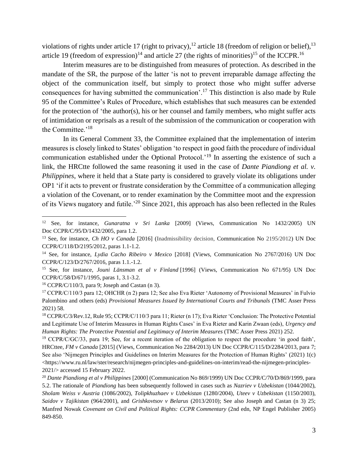violations of rights under article 17 (right to privacy),  $12$  article 18 (freedom of religion or belief),  $13$ article 19 (freedom of expression)<sup>14</sup> and article 27 (the rights of minorities)<sup>15</sup> of the ICCPR.<sup>16</sup>

Interim measures are to be distinguished from measures of protection. As described in the mandate of the SR, the purpose of the latter 'is not to prevent irreparable damage affecting the object of the communication itself, but simply to protect those who might suffer adverse consequences for having submitted the communication'.<sup>17</sup> This distinction is also made by Rule 95 of the Committee's Rules of Procedure, which establishes that such measures can be extended for the protection of 'the author(s), his or her counsel and family members, who might suffer acts of intimidation or reprisals as a result of the submission of the communication or cooperation with the Committee.'<sup>18</sup>

In its General Comment 33, the Committee explained that the implementation of interim measures is closely linked to States' obligation 'to respect in good faith the procedure of individual communication established under the Optional Protocol.'<sup>19</sup> In asserting the existence of such a link, the HRCtte followed the same reasoning it used in the case of *Dante Piandiong et al. v. Philippines*, where it held that a State party is considered to gravely violate its obligations under OP1 'if it acts to prevent or frustrate consideration by the Committee of a communication alleging a violation of the Covenant, or to render examination by the Committee moot and the expression of its Views nugatory and futile.'<sup>20</sup> Since 2021, this approach has also been reflected in the Rules

<sup>12</sup> See, for instance, *Gunaratna v Sri Lanka* [2009] (Views, Communication No 1432/2005) UN Doc CCPR/C/95/D/1432/2005, para 1.2.

<sup>13</sup> See, for instance, *Ch HO v Canada* [2016] (Inadmissibility decision, Communication No 2195/2012) UN Doc CCPR/C/118/D/2195/2012, paras 1.1-1.2.

<sup>14</sup> See, for instance, *Lydia Cacho Ribeiro v Mexico* [2018] (Views, Communication No 2767/2016) UN Doc CCPR/C/123/D/2767/2016, paras 1.1.-1.2.

<sup>15</sup> See, for instance, *Jouni Länsman et al v Finland* [1996] (Views, Communication No 671/95) UN Doc CCPR/C/58/D/671/1995, paras 1, 3.1-3.2.

 $16$  CCPR/C/110/3, para 9; Joseph and Castan (n 3).

<sup>17</sup> CCPR/C/110/3 para 12; OHCHR (n 2) para 12; See also Eva Rieter 'Autonomy of Provisional Measures' in Fulvio Palombino and others (eds) *Provisional Measures Issued by International Courts and Tribunals* (TMC Asser Press 2021) 58.

<sup>&</sup>lt;sup>18</sup> CCPR/C/3/Rev.12, Rule 95; CCPR/C/110/3 para 11; Rieter (n 17); Eva Rieter 'Conclusion: The Protective Potential and Legitimate Use of Interim Measures in Human Rights Cases' in Eva Rieter and Karin Zwaan (eds), *Urgency and Human Rights: The Protective Potential and Legitimacy of Interim Measures* (TMC Asser Press 2021) 252.

<sup>&</sup>lt;sup>19</sup> CCPR/C/GC/33, para 19; See, for a recent iteration of the obligation to respect the procedure 'in good faith', HRCttee, *FM v Canada* [2015] (Views, Communication No 2284/2013) UN Doc CCPR/C/115/D/2284/2013, para 7; See also 'Nijmegen Principles and Guidelines on Interim Measures for the Protection of Human Rights' (2021) 1(c)  $\langle$ https://www.ru.nl/law/ster/research/nijmegen-principles-and-guidelines-on-interim/read-the-nijmegen-principles-2021/> accessed 15 February 2022.

<sup>20</sup> *Dante Piandiong et al v Philippines* [2000] (Communication No 869/1999) UN Doc CCPR/C/70/D/869/1999, para 5.2. The rationale of *Piandiong* has been subsequently followed in cases such as *Nazriev v Uzbekistan* (1044/2002), *Sholam Weiss v Austria* (1086/2002), *Tolipkhuzhaev v Uzbekistan* (1280/2004), *Uteev v Uzbekistan* (1150/2003), *Saidov v Tajikistan* (964/2001), and *Grishkovtsov v Belarus* (2013/2010); See also Joseph and Castan (n 3) 25; Manfred Nowak *Covenant on Civil and Political Rights: CCPR Commentary* (2nd edn, NP Engel Publisher 2005) 849-850.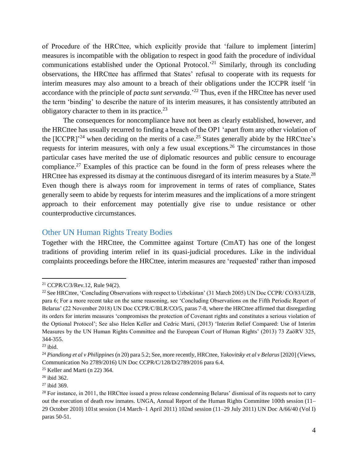of Procedure of the HRCttee, which explicitly provide that 'failure to implement [interim] measures is incompatible with the obligation to respect in good faith the procedure of individual communications established under the Optional Protocol.<sup>21</sup> Similarly, through its concluding observations, the HRCttee has affirmed that States' refusal to cooperate with its requests for interim measures may also amount to a breach of their obligations under the ICCPR itself 'in accordance with the principle of *pacta sunt servanda*.<sup>22</sup> Thus, even if the HRCttee has never used the term 'binding' to describe the nature of its interim measures, it has consistently attributed an obligatory character to them in its practice. $^{23}$ 

The consequences for noncompliance have not been as clearly established, however, and the HRCttee has usually recurred to finding a breach of the OP1 'apart from any other violation of the  $[ICCPR]$ <sup>24</sup> when deciding on the merits of a case.<sup>25</sup> States generally abide by the HRCttee's requests for interim measures, with only a few usual exceptions.<sup>26</sup> The circumstances in those particular cases have merited the use of diplomatic resources and public censure to encourage compliance.<sup>27</sup> Examples of this practice can be found in the form of press releases where the HRCttee has expressed its dismay at the continuous disregard of its interim measures by a State.<sup>28</sup> Even though there is always room for improvement in terms of rates of compliance, States generally seem to abide by requests for interim measures and the implications of a more stringent approach to their enforcement may potentially give rise to undue resistance or other counterproductive circumstances.

#### <span id="page-4-0"></span>Other UN Human Rights Treaty Bodies

Together with the HRCttee, the Committee against Torture (CmAT) has one of the longest traditions of providing interim relief in its quasi-judicial procedures. Like in the individual complaints proceedings before the HRCttee, interim measures are 'requested' rather than imposed

<sup>21</sup> CCPR/C/3/Rev.12, Rule 94(2).

<sup>&</sup>lt;sup>22</sup> See HRCttee, 'Concluding Observations with respect to Uzbekistan' (31 March 2005) UN Doc CCPR/ CO/83/UZB, para 6; For a more recent take on the same reasoning, see 'Concluding Observations on the Fifth Periodic Report of Belarus' (22 November 2018) UN Doc CCPR/C/BLR/CO/5, paras 7-8, where the HRCttee affirmed that disregarding its orders for interim measures 'compromises the protection of Covenant rights and constitutes a serious violation of the Optional Protocol'; See also Helen Keller and Cedric Marti, (2013) 'Interim Relief Compared: Use of Interim Measures by the UN Human Rights Committee and the European Court of Human Rights' (2013) 73 ZaöRV 325, 344-355.

 $23$  ibid.

<sup>24</sup> *Piandiong et al v Philippines* (n 20) para 5.2; See, more recently, HRCttee, *Yakovitsky et al v Belarus* [2020] (Views, Communication No 2789/2016) UN Doc CCPR/C/128/D/2789/2016 para 6.4.

 $25$  Keller and Marti (n 22) 364.

<sup>26</sup> ibid 362.

<sup>27</sup> ibid 369.

 $28$  For instance, in 2011, the HRCttee issued a press release condemning Belarus' dismissal of its requests not to carry out the execution of death row inmates. UNGA, Annual Report of the Human Rights Committee 100th session (11– 29 October 2010) 101st session (14 March–1 April 2011) 102nd session (11–29 July 2011) UN Doc A/66/40 (Vol I) paras 50-51.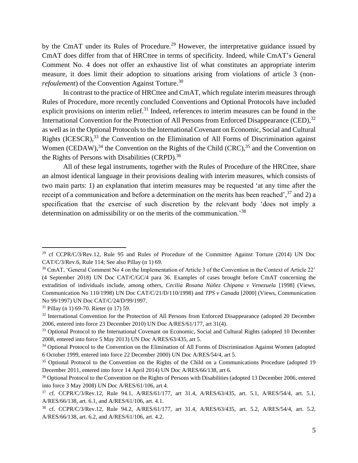by the CmAT under its Rules of Procedure.<sup>29</sup> However, the interpretative guidance issued by CmAT does differ from that of HRCttee in terms of specificity. Indeed, while CmAT's General Comment No. 4 does not offer an exhaustive list of what constitutes an appropriate interim measure, it does limit their adoption to situations arising from violations of article 3 (non*refoulement*) of the Convention Against Torture.<sup>30</sup>

In contrast to the practice of HRCttee and CmAT, which regulate interim measures through Rules of Procedure, more recently concluded Conventions and Optional Protocols have included explicit provisions on interim relief.<sup>31</sup> Indeed, references to interim measures can be found in the International Convention for the Protection of All Persons from Enforced Disappearance (CED),<sup>32</sup> as well as in the Optional Protocols to the International Covenant on Economic, Social and Cultural Rights (ICESCR),<sup>33</sup> the Convention on the Elimination of All Forms of Discrimination against Women (CEDAW),<sup>34</sup> the Convention on the Rights of the Child (CRC),<sup>35</sup> and the Convention on the Rights of Persons with Disabilities (CRPD).<sup>36</sup>

All of these legal instruments, together with the Rules of Procedure of the HRCttee, share an almost identical language in their provisions dealing with interim measures, which consists of two main parts: 1) an explanation that interim measures may be requested 'at any time after the receipt of a communication and before a determination on the merits has been reached',  $37$  and 2) a specification that the exercise of such discretion by the relevant body 'does not imply a determination on admissibility or on the merits of the communication.'<sup>38</sup>

<sup>&</sup>lt;sup>29</sup> cf CCPR/C/3/Rev.12, Rule 95 and Rules of Procedure of the Committee Against Torture (2014) UN Doc CAT/C/3/Rev.6, Rule 114; See also Pillay (n 1) 69.

<sup>30</sup> CmAT, 'General Comment No 4 on the Implementation of Article 3 of the Convention in the Context of Article 22' (4 September 2018) UN Doc CAT/C/GC/4 para 36. Examples of cases brought before CmAT concerning the extradition of individuals include, among others, *Cecilia Rosana Núñez Chipana v Venezuela* [1998] (Views, Communication No 110/1998) UN Doc CAT/C/21/D/110/1998) and *TPS v Canada* [2000] (Views, Communication No 99/1997) UN Doc CAT/C/24/D/99/1997.

<sup>31</sup> Pillay (n 1) 69-70. Rieter (n 17) 59.

<sup>&</sup>lt;sup>32</sup> International Convention for the Protection of All Persons from Enforced Disappearance (adopted 20 December 2006, entered into force 23 December 2010) UN Doc A/RES/61/177, art 31(4).

<sup>&</sup>lt;sup>33</sup> Optional Protocol to the International Covenant on Economic, Social and Cultural Rights (adopted 10 December 2008, entered into force 5 May 2013) UN Doc A/RES/63/435, art 5.

<sup>&</sup>lt;sup>34</sup> Optional Protocol to the Convention on the Elimination of All Forms of Discrimination Against Women (adopted 6 October 1999, entered into force 22 December 2000) UN Doc A/RES/54/4, art 5.

<sup>&</sup>lt;sup>35</sup> Optional Protocol to the Convention on the Rights of the Child on a Communications Procedure (adopted 19 December 2011, entered into force 14 April 2014) UN Doc A/RES/66/138, art 6.

<sup>&</sup>lt;sup>36</sup> Optional Protocol to the Convention on the Rights of Persons with Disabilities (adopted 13 December 2006, entered into force 3 May 2008) UN Doc A/RES/61/106, art 4.

<sup>37</sup> cf. CCPR/C/3/Rev.12, Rule 94.1, A/RES/61/177, art 31.4, A/RES/63/435, art. 5.1, A/RES/54/4, art. 5.1, A/RES/66/138, art. 6.1, and A/RES/61/106, art. 4.1.

<sup>38</sup> cf. CCPR/C/3/Rev.12, Rule 94.2, A/RES/61/177, art 31.4, A/RES/63/435, art. 5.2, A/RES/54/4, art. 5.2, A/RES/66/138, art. 6.2, and A/RES/61/106, art. 4.2.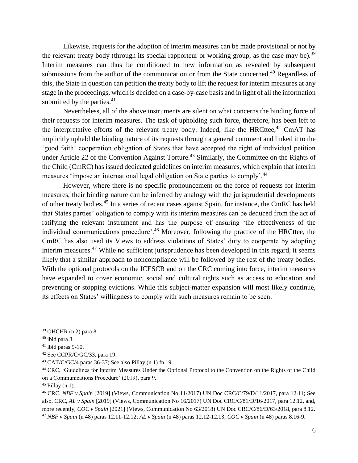Likewise, requests for the adoption of interim measures can be made provisional or not by the relevant treaty body (through its special rapporteur or working group, as the case may be).<sup>39</sup> Interim measures can thus be conditioned to new information as revealed by subsequent submissions from the author of the communication or from the State concerned.<sup>40</sup> Regardless of this, the State in question can petition the treaty body to lift the request for interim measures at any stage in the proceedings, which is decided on a case-by-case basis and in light of all the information submitted by the parties. $41$ 

Nevertheless, all of the above instruments are silent on what concerns the binding force of their requests for interim measures. The task of upholding such force, therefore, has been left to the interpretative efforts of the relevant treaty body. Indeed, like the HRCttee,<sup>42</sup> CmAT has implicitly upheld the binding nature of its requests through a general comment and linked it to the 'good faith' cooperation obligation of States that have accepted the right of individual petition under Article 22 of the Convention Against Torture.<sup>43</sup> Similarly, the Committee on the Rights of the Child (CmRC) has issued dedicated guidelines on interim measures, which explain that interim measures 'impose an international legal obligation on State parties to comply'.<sup>44</sup>

However, where there is no specific pronouncement on the force of requests for interim measures, their binding nature can be inferred by analogy with the jurisprudential developments of other treaty bodies.<sup>45</sup> In a series of recent cases against Spain, for instance, the CmRC has held that States parties' obligation to comply with its interim measures can be deduced from the act of ratifying the relevant instrument and has the purpose of ensuring 'the effectiveness of the individual communications procedure'.<sup>46</sup> Moreover, following the practice of the HRCttee, the CmRC has also used its Views to address violations of States' duty to cooperate by adopting interim measures.<sup>47</sup> While no sufficient jurisprudence has been developed in this regard, it seems likely that a similar approach to noncompliance will be followed by the rest of the treaty bodies. With the optional protocols on the ICESCR and on the CRC coming into force, interim measures have expanded to cover economic, social and cultural rights such as access to education and preventing or stopping evictions. While this subject-matter expansion will most likely continue, its effects on States' willingness to comply with such measures remain to be seen.

<sup>39</sup> OHCHR (n 2) para 8.

 $40$  ibid para 8.

 $41$  ibid paras 9-10.

<sup>42</sup> See CCPR/C/GC/33, para 19.

<sup>43</sup> CAT/C/GC/4 paras 36-37; See also Pillay (n 1) fn 19.

<sup>44</sup> CRC, 'Guidelines for Interim Measures Under the Optional Protocol to the Convention on the Rights of the Child on a Communications Procedure' (2019), para 9.

 $45$  Pillay (n 1).

<sup>46</sup> CRC, *NBF v Spain* [2019] (Views, Communication No 11/2017) UN Doc CRC/C/79/D/11/2017, para 12.11; See also, CRC, *AL v Spain* [2019] (Views, Communication No 16/2017) UN Doc CRC/C/81/D/16/2017, para 12.12, and, more recently, *COC v Spain* [2021] (Views, Communication No 63/2018) UN Doc CRC/C/86/D/63/2018, para 8.12. <sup>47</sup> *NBF v Spain* (n 48) paras 12.11-12.12; *AL v Spain* (n 48) paras 12.12-12.13; *COC v Spain* (n 48) paras 8.16-9.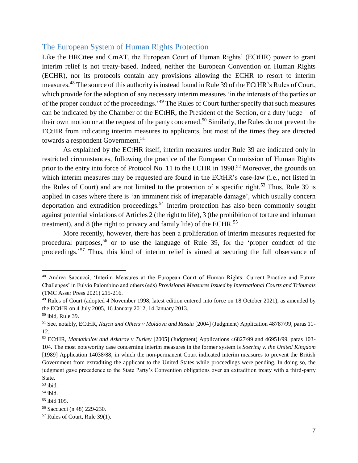#### <span id="page-7-0"></span>The European System of Human Rights Protection

Like the HRCttee and CmAT, the European Court of Human Rights' (ECtHR) power to grant interim relief is not treaty-based. Indeed, neither the European Convention on Human Rights (ECHR), nor its protocols contain any provisions allowing the ECHR to resort to interim measures.<sup>48</sup> The source of this authority is instead found in Rule 39 of the ECtHR's Rules of Court, which provide for the adoption of any necessary interim measures 'in the interests of the parties or of the proper conduct of the proceedings.'<sup>49</sup> The Rules of Court further specify that such measures can be indicated by the Chamber of the ECtHR, the President of the Section, or a duty judge – of their own motion or at the request of the party concerned.<sup>50</sup> Similarly, the Rules do not prevent the ECtHR from indicating interim measures to applicants, but most of the times they are directed towards a respondent Government.<sup>51</sup>

As explained by the ECtHR itself, interim measures under Rule 39 are indicated only in restricted circumstances, following the practice of the European Commission of Human Rights prior to the entry into force of Protocol No. 11 to the ECHR in 1998.<sup>52</sup> Moreover, the grounds on which interim measures may be requested are found in the ECtHR's case-law (i.e., not listed in the Rules of Court) and are not limited to the protection of a specific right.<sup>53</sup> Thus, Rule 39 is applied in cases where there is 'an imminent risk of irreparable damage', which usually concern deportation and extradition proceedings.<sup>54</sup> Interim protection has also been commonly sought against potential violations of Articles 2 (the right to life), 3 (the prohibition of torture and inhuman treatment), and 8 (the right to privacy and family life) of the ECHR.<sup>55</sup>

More recently, however, there has been a proliferation of interim measures requested for procedural purposes, <sup>56</sup> or to use the language of Rule 39, for the 'proper conduct of the proceedings.<sup>57</sup> Thus, this kind of interim relief is aimed at securing the full observance of

<sup>48</sup> Andrea Saccucci, 'Interim Measures at the European Court of Human Rights: Current Practice and Future Challenges' in Fulvio Palombino and others (eds) *Provisional Measures Issued by International Courts and Tribunals* (TMC Asser Press 2021) 215-216.

<sup>&</sup>lt;sup>49</sup> Rules of Court (adopted 4 November 1998, latest edition entered into force on 18 October 2021), as amended by the ECtHR on 4 July 2005, 16 January 2012, 14 January 2013.

<sup>50</sup> ibid, Rule 39.

<sup>51</sup> See, notably, ECtHR, *Ilaşcu and Others v Moldova and Russia* [2004] (Judgment) Application 48787/99, paras 11- 12.

<sup>52</sup> ECtHR, *Mamatkulov and Askarov v Turkey* [2005] (Judgment) Applications 46827/99 and 46951/99, paras 103- 104. The most noteworthy case concerning interim measures in the former system is *Soering v. the United Kingdom*  [1989] Application 14038/88, in which the non-permanent Court indicated interim measures to prevent the British Government from extraditing the applicant to the United States while proceedings were pending. In doing so, the judgment gave precedence to the State Party's Convention obligations over an extradition treaty with a third-party State.

 $53$  ibid.

<sup>54</sup> ibid.

 $55$  ibid 105.

<sup>56</sup> Saccucci (n 48) 229-230.

<sup>57</sup> Rules of Court, Rule 39(1).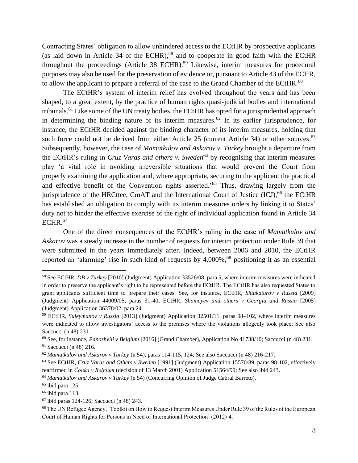Contracting States' obligation to allow unhindered access to the ECtHR by prospective applicants (as laid down in Article 34 of the ECHR), <sup>58</sup> and to cooperate in good faith with the ECtHR throughout the proceedings (Article 38 ECHR).<sup>59</sup> Likewise, interim measures for procedural purposes may also be used for the preservation of evidence or, pursuant to Article 43 of the ECHR, to allow the applicant to prepare a referral of the case to the Grand Chamber of the ECtHR.<sup>60</sup>

The ECtHR's system of interim relief has evolved throughout the years and has been shaped, to a great extent, by the practice of human rights quasi-judicial bodies and international tribunals.<sup>61</sup> Like some of the UN treaty bodies, the ECtHR has opted for a jurisprudential approach in determining the binding nature of its interim measures.<sup>62</sup> In its earlier jurisprudence, for instance, the ECtHR decided against the binding character of its interim measures, holding that such force could not be derived from either Article 25 (current Article 34) or other sources.<sup>63</sup> Subsequently, however, the case of *Mamatkulov and Askarov v. Turkey* brought a departure from the ECtHR's ruling in *Cruz Varas and others v. Sweden*<sup>64</sup> by recognising that interim measures play 'a vital role in avoiding irreversible situations that would prevent the Court from properly examining the application and, where appropriate, securing to the applicant the practical and effective benefit of the Convention rights asserted.'<sup>65</sup> Thus, drawing largely from the jurisprudence of the HRCttee, CmAT and the International Court of Justice (ICJ),<sup>66</sup> the ECtHR has established an obligation to comply with its interim measures orders by linking it to States' duty not to hinder the effective exercise of the right of individual application found in Article 34 ECHR. 67

One of the direct consequences of the ECtHR's ruling in the case of *Mamatkulov and Askarov* was a steady increase in the number of requests for interim protection under Rule 39 that were submitted in the years immediately after. Indeed, between 2006 and 2010, the ECtHR reported an 'alarming' rise in such kind of requests by 4,000%,<sup>68</sup> positioning it as an essential

<sup>58</sup> See ECtHR, *DB v Turkey* [2010] (Judgment) Application 33526/08, para 5, where interim measures were indicated in order to preserve the applicant's right to be represented before the ECtHR. The ECtHR has also requested States to grant applicants sufficient time to prepare their cases. See, for instance, ECtHR, *Shtukaturov v Russia* [2009] (Judgment) Application 44009/05, paras 31-40; ECtHR, *Shamayev and others v Georgia and Russia* [2005] (Judgment) Application 36378/02, para 24.

<sup>59</sup> ECtHR, *Suleymanov v Russia* [2013] (Judgment) Application 32501/11, paras 98–102, where interim measures were indicated to allow investigators' access to the premises where the violations allegedly took place; See also Saccucci (n 48) 231.

<sup>60</sup> See, for instance, *Paposhvili v Belgium* [2016] (Grand Chamber), Application No 41738/10; Saccucci (n 48) 231.

<sup>61</sup> Saccucci (n 48) 216.

<sup>62</sup> *Mamatkulov and Askarov v Turkey* (n 54), paras 114-115, 124; See also Saccucci (n 48) 216-217.

<sup>63</sup> See ECtHR, *Cruz Varas and Others v Sweden* [1991] (Judgment) Application 15576/89, paras 98-102, effectively reaffirmed in *Čonka v Belgium* (decision of 13 March 2001) Application 51564/99; See also ibid 243.

<sup>64</sup> *Mamatkulov and Askarov v Turkey* (n 54) (Concurring Opinion of Judge Cabral Barreto).

 $65$  ibid para 125.

 $66$  ibid para 113.

 $67$  ibid paras 124-126; Saccucci (n 48) 243.

<sup>&</sup>lt;sup>68</sup> The UN Refugee Agency, 'Toolkit on How to Request Interim Measures Under Rule 39 of the Rules of the European Court of Human Rights for Persons in Need of International Protection' (2012) 4.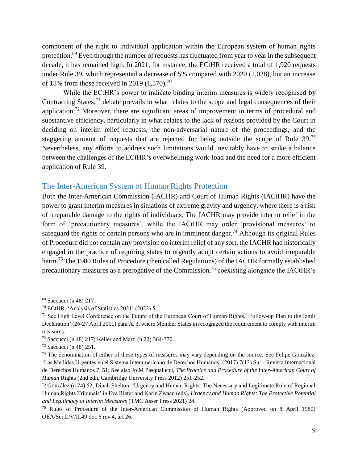component of the right to individual application within the European system of human rights protection.<sup>69</sup> Even though the number of requests has fluctuated from year to year in the subsequent decade, it has remained high. In 2021, for instance, the ECtHR received a total of 1,920 requests under Rule 39, which represented a decrease of 5% compared with 2020 (2,028), but an increase of 18% from those received in 2019  $(1,570)^{70}$ 

While the ECtHR's power to indicate binding interim measures is widely recognised by Contracting States,  $^{71}$  debate prevails in what relates to the scope and legal consequences of their application.<sup>72</sup> Moreover, there are significant areas of improvement in terms of procedural and substantive efficiency, particularly in what relates to the lack of reasons provided by the Court in deciding on interim relief requests, the non-adversarial nature of the proceedings, and the staggering amount of requests that are rejected for being outside the scope of Rule  $39.^{73}$ Nevertheless, any efforts to address such limitations would inevitably have to strike a balance between the challenges of the ECtHR's overwhelming work-load and the need for a more efficient application of Rule 39.

#### <span id="page-9-0"></span>The Inter-American System of Human Rights Protection

Both the Inter-American Commission (IACHR) and Court of Human Rights (IACtHR) have the power to grant interim measures in situations of extreme gravity and urgency, where there is a risk of irreparable damage to the rights of individuals. The IACHR may provide interim relief in the form of 'precautionary measures', while the IACtHR may order 'provisional measures' to safeguard the rights of certain persons who are in imminent danger.<sup>74</sup> Although its original Rules of Procedure did not contain any provision on interim relief of any sort, the IACHR had historically engaged in the practice of requiring states to urgently adopt certain actions to avoid irreparable harm.<sup>75</sup> The 1980 Rules of Procedure (then called Regulations) of the IACHR formally established precautionary measures as a prerogative of the Commission,<sup>76</sup> coexisting alongside the IACtHR's

<sup>69</sup> Saccucci (n 48) 217.

<sup>70</sup> ECtHR, 'Analysis of Statistics 2021' (2022) 5.

 $71$  See High Level Conference on the Future of the European Court of Human Rights, 'Follow-up Plan to the Izmir Declaration' (26-27 April 2011) para A. 3, where Member States in recognized the requirement to comply with interim measures.

<sup>72</sup> Saccucci (n 48) 217; Keller and Marti (n 22) 364-370.

<sup>73</sup> Saccucci (n 48) 251.

<sup>&</sup>lt;sup>74</sup> The denomination of either of these types of measures may vary depending on the source. See Felipe González, 'Las Medidas Urgentes en el Sistema Interamericano de Derechos Humanos' (2017) 7(13) Sur - Revista Internacional de Derechos Humanos 7, 51; See also Jo M Pasqualucci, *The Practice and Procedure of the Inter-American Court of Human* Rights (2nd edn, Cambridge University Press 2012) 251-252.

<sup>75</sup> González (n 74) 52; Dinah Shelton, 'Urgency and Human Rights: The Necessary and Legitimate Role of Regional Human Rights Tribunals' in Eva Rieter and Karin Zwaan (eds), *Urgency and Human Rights: The Protective Potential and Legitimacy of Interim Measures* (TMC Asser Press 2021) 24.

<sup>76</sup> Rules of Procedure of the Inter-American Commission of Human Rights (Approved on 8 April 1980) OEA/Ser.L/V/II.49 doc 6 rev 4, art 26.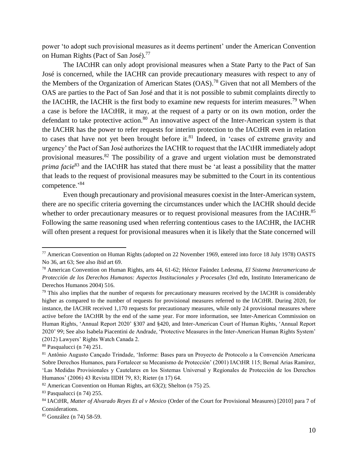power 'to adopt such provisional measures as it deems pertinent' under the American Convention on Human Rights (Pact of San José).<sup>77</sup>

The IACtHR can only adopt provisional measures when a State Party to the Pact of San José is concerned, while the IACHR can provide precautionary measures with respect to any of the Members of the Organization of American States (OAS).<sup>78</sup> Given that not all Members of the OAS are parties to the Pact of San José and that it is not possible to submit complaints directly to the IACtHR, the IACHR is the first body to examine new requests for interim measures.<sup>79</sup> When a case is before the IACtHR, it may, at the request of a party or on its own motion, order the defendant to take protective action.<sup>80</sup> An innovative aspect of the Inter-American system is that the IACHR has the power to refer requests for interim protection to the IACtHR even in relation to cases that have not yet been brought before it. $81$  Indeed, in 'cases of extreme gravity and urgency' the Pact of San José authorizes the IACHR to request that the IACtHR immediately adopt provisional measures.<sup>82</sup> The possibility of a grave and urgent violation must be demonstrated *prima facie*<sup>83</sup> and the IACtHR has stated that there must be 'at least a possibility that the matter that leads to the request of provisional measures may be submitted to the Court in its contentious competence.'<sup>84</sup>

Even though precautionary and provisional measures coexist in the Inter-American system, there are no specific criteria governing the circumstances under which the IACHR should decide whether to order precautionary measures or to request provisional measures from the IACtHR.<sup>85</sup> Following the same reasoning used when referring contentious cases to the IACtHR, the IACHR will often present a request for provisional measures when it is likely that the State concerned will

<sup>77</sup> American Convention on Human Rights (adopted on 22 November 1969, entered into force 18 July 1978) OASTS No 36, art 63; See also ibid art 69.

<sup>78</sup> American Convention on Human Rights, arts 44, 61-62; Héctor Faúndez Ledesma, *El Sistema Interamericano de Protección de los Derechos Humanos: Aspectos Institucionales y Procesales* (3rd edn, Instituto Interamericano de Derechos Humanos 2004) 516.

<sup>&</sup>lt;sup>79</sup> This also implies that the number of requests for precautionary measures received by the IACHR is considerably higher as compared to the number of requests for provisional measures referred to the IACtHR. During 2020, for instance, the IACHR received 1,170 requests for precautionary measures, while only 24 provisional measures where active before the IACtHR by the end of the same year. For more information, see Inter-American Commission on Human Rights, 'Annual Report 2020' §307 and §420, and Inter-American Court of Human Rights, 'Annual Report 2020' 99; See also Isabela Piacentini de Andrade, 'Protective Measures in the Inter-American Human Rights System' (2012) Lawyers' Rights Watch Canada 2.

<sup>80</sup> Pasqualucci (n 74) 251.

<sup>81</sup> Antônio Augusto Cançado Trindade, 'Informe: Bases para un Proyecto de Protocolo a la Convención Americana Sobre Derechos Humanos, para Fortalecer su Mecanismo de Protección' (2001) IACtHR 115; Bernal Arias Ramírez, 'Las Medidas Provisionales y Cautelares en los Sistemas Universal y Regionales de Protección de los Derechos Humanos' (2006) 43 Revista IIDH 79, 83; Rieter (n 17) 64.

 $82$  American Convention on Human Rights, art 63(2); Shelton (n 75) 25.

<sup>83</sup> Pasqualucci (n 74) 255.

<sup>84</sup> IACtHR, *Matter of Alvarado Reyes Et al v Mexico* (Order of the Court for Provisional Measures) [2010] para 7 of Considerations.

<sup>85</sup> González (n 74) 58-59.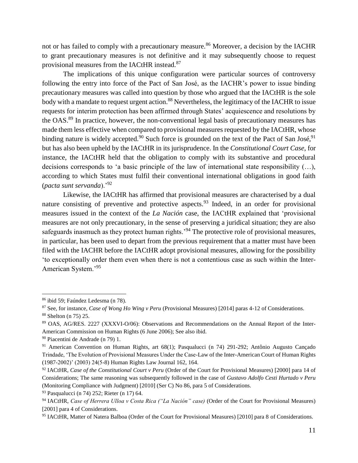not or has failed to comply with a precautionary measure.<sup>86</sup> Moreover, a decision by the IACHR to grant precautionary measures is not definitive and it may subsequently choose to request provisional measures from the IACtHR instead.<sup>87</sup>

The implications of this unique configuration were particular sources of controversy following the entry into force of the Pact of San José, as the IACHR's power to issue binding precautionary measures was called into question by those who argued that the IACtHR is the sole body with a mandate to request urgent action.<sup>88</sup> Nevertheless, the legitimacy of the IACHR to issue requests for interim protection has been affirmed through States' acquiescence and resolutions by the OAS.<sup>89</sup> In practice, however, the non-conventional legal basis of precautionary measures has made them less effective when compared to provisional measures requested by the IACtHR, whose binding nature is widely accepted.<sup>90</sup> Such force is grounded on the text of the Pact of San José,<sup>91</sup> but has also been upheld by the IACtHR in its jurisprudence. In the *Constitutional Court Case*, for instance, the IACtHR held that the obligation to comply with its substantive and procedural decisions corresponds to 'a basic principle of the law of international state responsibility (…), according to which States must fulfil their conventional international obligations in good faith (*pacta sunt servanda*).'<sup>92</sup>

Likewise, the IACtHR has affirmed that provisional measures are characterised by a dual nature consisting of preventive and protective aspects.<sup>93</sup> Indeed, in an order for provisional measures issued in the context of the *La Nación* case, the IACtHR explained that 'provisional measures are not only precautionary, in the sense of preserving a juridical situation; they are also safeguards inasmuch as they protect human rights.<sup>94</sup> The protective role of provisional measures, in particular, has been used to depart from the previous requirement that a matter must have been filed with the IACHR before the IACtHR adopt provisional measures, allowing for the possibility 'to exceptionally order them even when there is not a contentious case as such within the Inter-American System.'<sup>95</sup>

<sup>86</sup> ibid 59; Faúndez Ledesma (n 78).

<sup>87</sup> See, for instance, *Case of Wong Ho Wing v Peru* (Provisional Measures) [2014] paras 4-12 of Considerations. <sup>88</sup> Shelton (n 75) 25.

<sup>89</sup> OAS, AG/RES. 2227 (XXXVI-O/06): Observations and Recommendations on the Annual Report of the Inter-American Commission on Human Rights (6 June 2006); See also ibid.

<sup>90</sup> Piacentini de Andrade (n 79) 1.

<sup>91</sup> American Convention on Human Rights, art 68(1); Pasqualucci (n 74) 291-292; Antônio Augusto Cançado Trindade, 'The Evolution of Provisional Measures Under the Case-Law of the Inter-American Court of Human Rights (1987-2002)' (2003) 24(5-8) Human Rights Law Journal 162, 164.

<sup>92</sup> IACtHR, *Case of the Constitutional Court v Peru* (Order of the Court for Provisional Measures) [2000] para 14 of Considerations; The same reasoning was subsequently followed in the case of *Gustavo Adolfo Cesti Hurtado v Peru* (Monitoring Compliance with Judgment) [2010] (Ser C) No 86, para 5 of Considerations.

<sup>93</sup> Pasqualucci (n 74) 252; Rieter (n 17) 64.

<sup>94</sup> IACtHR, *Case of Herrera Ulloa v Costa Rica ("La Nación" case)* (Order of the Court for Provisional Measures) [2001] para 4 of Considerations.

<sup>95</sup> IACtHR, Matter of Natera Balboa (Order of the Court for Provisional Measures) [2010] para 8 of Considerations.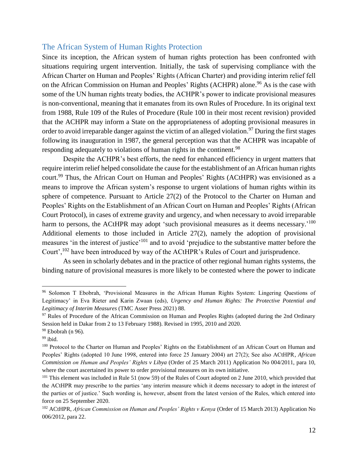#### <span id="page-12-0"></span>The African System of Human Rights Protection

Since its inception, the African system of human rights protection has been confronted with situations requiring urgent intervention. Initially, the task of supervising compliance with the African Charter on Human and Peoples' Rights (African Charter) and providing interim relief fell on the African Commission on Human and Peoples' Rights (ACHPR) alone.<sup>96</sup> As is the case with some of the UN human rights treaty bodies, the ACHPR's power to indicate provisional measures is non-conventional, meaning that it emanates from its own Rules of Procedure. In its original text from 1988, Rule 109 of the Rules of Procedure (Rule 100 in their most recent revision) provided that the ACHPR may inform a State on the appropriateness of adopting provisional measures in order to avoid irreparable danger against the victim of an alleged violation.<sup>97</sup> During the first stages following its inauguration in 1987, the general perception was that the ACHPR was incapable of responding adequately to violations of human rights in the continent.<sup>98</sup>

Despite the ACHPR's best efforts, the need for enhanced efficiency in urgent matters that require interim relief helped consolidate the cause for the establishment of an African human rights court.<sup>99</sup> Thus, the African Court on Human and Peoples' Rights (ACtHPR) was envisioned as a means to improve the African system's response to urgent violations of human rights within its sphere of competence. Pursuant to Article 27(2) of the Protocol to the Charter on Human and Peoples' Rights on the Establishment of an African Court on Human and Peoples' Rights (African Court Protocol), in cases of extreme gravity and urgency, and when necessary to avoid irreparable harm to persons, the ACtHPR may adopt 'such provisional measures as it deems necessary.'<sup>100</sup> Additional elements to those included in Article 27(2), namely the adoption of provisional measures 'in the interest of justice'<sup>101</sup> and to avoid 'prejudice to the substantive matter before the Court',<sup>102</sup> have been introduced by way of the ACtHPR's Rules of Court and jurisprudence.

As seen in scholarly debates and in the practice of other regional human rights systems, the binding nature of provisional measures is more likely to be contested where the power to indicate

<sup>96</sup> Solomon T Ebobrah, 'Provisional Measures in the African Human Rights System: Lingering Questions of Legitimacy' in Eva Rieter and Karin Zwaan (eds), *Urgency and Human Rights: The Protective Potential and Legitimacy of Interim Measures* (TMC Asser Press 2021) 88.

<sup>&</sup>lt;sup>97</sup> Rules of Procedure of the African Commission on Human and Peoples Rights (adopted during the 2nd Ordinary Session held in Dakar from 2 to 13 February 1988). Revised in 1995, 2010 and 2020.

<sup>98</sup> Ebobrah (n 96).

 $99$  ibid.

<sup>100</sup> Protocol to the Charter on Human and Peoples' Rights on the Establishment of an African Court on Human and Peoples' Rights (adopted 10 June 1998, entered into force 25 January 2004) art 27(2); See also ACtHPR*, African Commission on Human and Peoples' Rights v Libya* (Order of 25 March 2011) Application No 004/2011, para 10, where the court ascertained its power to order provisional measures on its own initiative.

<sup>&</sup>lt;sup>101</sup> This element was included in Rule 51 (now 59) of the Rules of Court adopted on 2 June 2010, which provided that the ACtHPR may prescribe to the parties 'any interim measure which it deems necessary to adopt in the interest of the parties or of justice.' Such wording is, however, absent from the latest version of the Rules, which entered into force on 25 September 2020.

<sup>102</sup> ACtHPR, *African Commission on Human and Peoples' Rights v Kenya* (Order of 15 March 2013) Application No 006/2012, para 22.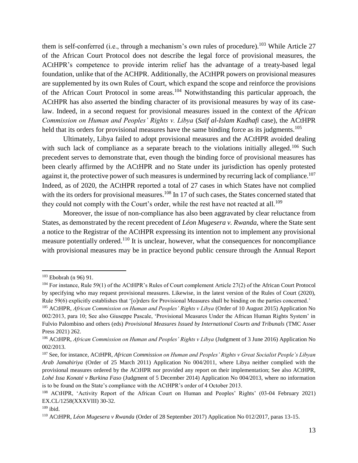them is self-conferred (i.e., through a mechanism's own rules of procedure).<sup>103</sup> While Article 27 of the African Court Protocol does not describe the legal force of provisional measures, the ACtHPR's competence to provide interim relief has the advantage of a treaty-based legal foundation, unlike that of the ACHPR. Additionally, the ACtHPR powers on provisional measures are supplemented by its own Rules of Court, which expand the scope and reinforce the provisions of the African Court Protocol in some areas.<sup>104</sup> Notwithstanding this particular approach, the ACtHPR has also asserted the binding character of its provisional measures by way of its caselaw. Indeed, in a second request for provisional measures issued in the context of the *African Commission on Human and Peoples' Rights v. Libya* (*Saïf al-Islam Kadhafi* case), the ACtHPR held that its orders for provisional measures have the same binding force as its judgments.<sup>105</sup>

Ultimately, Libya failed to adopt provisional measures and the ACtHPR avoided dealing with such lack of compliance as a separate breach to the violations initially alleged.<sup>106</sup> Such precedent serves to demonstrate that, even though the binding force of provisional measures has been clearly affirmed by the ACtHPR and no State under its jurisdiction has openly protested against it, the protective power of such measures is undermined by recurring lack of compliance.<sup>107</sup> Indeed, as of 2020, the ACtHPR reported a total of 27 cases in which States have not complied with the its orders for provisional measures.<sup>108</sup> In 17 of such cases, the States concerned stated that they could not comply with the Court's order, while the rest have not reacted at all.<sup>109</sup>

Moreover, the issue of non-compliance has also been aggravated by clear reluctance from States, as demonstrated by the recent precedent of *Léon Mugesera v. Rwanda*, where the State sent a notice to the Registrar of the ACtHPR expressing its intention not to implement any provisional measure potentially ordered.<sup>110</sup> It is unclear, however, what the consequences for noncompliance with provisional measures may be in practice beyond public censure through the Annual Report

<sup>103</sup> Ebobrah (n 96) 91.

<sup>104</sup> For instance, Rule 59(1) of the ACtHPR's Rules of Court complement Article 27(2) of the African Court Protocol by specifying who may request provisional measures. Likewise, in the latest version of the Rules of Court (2020), Rule 59(6) explicitly establishes that '[o]rders for Provisional Measures shall be binding on the parties concerned.'

<sup>105</sup> ACtHPR, *African Commission on Human and Peoples' Rights v Libya* (Order of 10 August 2015) Application No 002/2013, para 10; See also Giuseppe Pascale, 'Provisional Measures Under the African Human Rights System' in Fulvio Palombino and others (eds) *Provisional Measures Issued by International Courts and Tribunals* (TMC Asser Press 2021) 262.

<sup>106</sup> ACtHPR, *African Commission on Human and Peoples' Rights v Libya* (Judgment of 3 June 2016) Application No 002/2013.

<sup>107</sup> See, for instance, ACtHPR, *African Commission on Human and Peoples' Rights v Great Socialist People's Libyan Arab Jamahiriya* (Order of 25 March 2011) Application No 004/2011, where Libya neither complied with the provisional measures ordered by the ACtHPR nor provided any report on their implementation; See also ACtHPR, *Lohé Issa Konaté v Burkina Faso* (Judgment of 5 December 2014) Application No 004/2013, where no information is to be found on the State's compliance with the ACtHPR's order of 4 October 2013.

<sup>108</sup> ACtHPR, 'Activity Report of the African Court on Human and Peoples' Rights' (03-04 February 2021) EX.CL/1258(XXXVIII) 30-32.

 $109$  ibid.

<sup>110</sup> ACtHPR, *Léon Mugesera v Rwanda* (Order of 28 September 2017) Application No 012/2017, paras 13-15.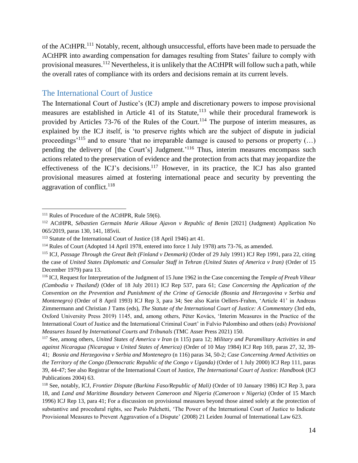of the ACtHPR.<sup>111</sup> Notably, recent, although unsuccessful, efforts have been made to persuade the ACtHPR into awarding compensation for damages resulting from States' failure to comply with provisional measures.<sup>112</sup> Nevertheless, it is unlikely that the ACtHPR will follow such a path, while the overall rates of compliance with its orders and decisions remain at its current levels.

#### <span id="page-14-0"></span>The International Court of Justice

The International Court of Justice's (ICJ) ample and discretionary powers to impose provisional measures are established in Article 41 of its Statute, $113$  while their procedural framework is provided by Articles 73-76 of the Rules of the Court.<sup>114</sup> The purpose of interim measures, as explained by the ICJ itself, is 'to preserve rights which are the subject of dispute in judicial proceedings<sup>'115</sup> and to ensure 'that no irreparable damage is caused to persons or property  $(...)$ pending the delivery of [the Court's] Judgment.<sup>'116</sup> Thus, interim measures encompass such actions related to the preservation of evidence and the protection from acts that may jeopardize the effectiveness of the ICJ's decisions.<sup>117</sup> However, in its practice, the ICJ has also granted provisional measures aimed at fostering international peace and security by preventing the aggravation of conflict.<sup>118</sup>

<sup>&</sup>lt;sup>111</sup> Rules of Procedure of the ACtHPR, Rule 59(6).

<sup>112</sup> ACtHPR, *Sébastien Germain Marie Aïkoue Ajavon v Republic of Benin* [2021] (Judgment) Application No 065/2019, paras 130, 141, 185vii.

<sup>113</sup> Statute of the International Court of Justice (18 April 1946) art 41.

<sup>114</sup> Rules of Court (Adopted 14 April 1978, entered into force 1 July 1978) arts 73-76, as amended.

<sup>115</sup> ICJ, *Passage Through the Great Belt (Finland v Denmark)* (Order of 29 July 1991) ICJ Rep 1991, para 22, citing the case of *United States Diplomatic and Consular Staff in Tehran (United States of America v Iran)* (Order of 15 December 1979) para 13.

<sup>116</sup> ICJ, Request for Interpretation of the Judgment of 15 June 1962 in the Case concerning the *Temple of Preah Vihear (Cambodia v Thailand)* (Oder of 18 July 2011) ICJ Rep 537, para 61; *Case Concerning the Application of the Convention on the Prevention and Punishment of the Crime of Genocide (Bosnia and Herzegovina v Serbia and Montenegro)* (Order of 8 April 1993) ICJ Rep 3, para 34; See also Karin Oellers-Frahm, 'Article 41' in Andreas Zimmermann and Christian J Tams (eds), *The Statute of the International Court of Justice: A Commentary* (3rd edn, Oxford University Press 2019) 1145, and, among others, Péter Kovács, 'Interim Measures in the Practice of the International Court of Justice and the International Criminal Court' in Fulvio Palombino and others (eds) *Provisional Measures Issued by International Courts and Tribunals* (TMC Asser Press 2021) 150.

<sup>117</sup> See, among others, *United States of America v Iran* (n 115) para 12; *Military and Paramilitary Activities in and against Nicaragua (Nicaragua v United States of America)* (Order of 10 May 1984) ICJ Rep 169, paras 27, 32, 39- 41; *Bosnia and Herzegovina v Serbia and Montenegro* (n 116) paras 34, 50-2; *Case Concerning Armed Activities on the Territory of the Congo (Democratic Republic of the Congo v Uganda)* (Order of 1 July 2000) ICJ Rep 111, paras 39, 44-47; See also Registrar of the International Court of Justice, *The International Court of Justice: Handbook* (ICJ Publications 2004) 63.

<sup>118</sup> See, notably, ICJ, *Frontier Dispute (Burkina Faso/Republic of Mali)* (Order of 10 January 1986) ICJ Rep 3, para 18, and *Land and Maritime Boundary between Cameroon and Nigeria (Cameroon v Nigeria)* (Order of 15 March 1996) ICJ Rep 13, para 41; For a discussion on provisional measures beyond those aimed solely at the protection of substantive and procedural rights, see Paolo Palchetti, 'The Power of the International Court of Justice to Indicate Provisional Measures to Prevent Aggravation of a Dispute' (2008) 21 Leiden Journal of International Law 623.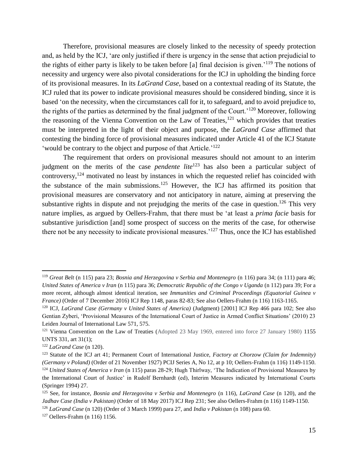Therefore, provisional measures are closely linked to the necessity of speedy protection and, as held by the ICJ, 'are only justified if there is urgency in the sense that action prejudicial to the rights of either party is likely to be taken before [a] final decision is given.'<sup>119</sup> The notions of necessity and urgency were also pivotal considerations for the ICJ in upholding the binding force of its provisional measures. In its *LaGrand Case*, based on a contextual reading of its Statute, the ICJ ruled that its power to indicate provisional measures should be considered binding, since it is based 'on the necessity, when the circumstances call for it, to safeguard, and to avoid prejudice to, the rights of the parties as determined by the final judgment of the Court.'<sup>120</sup> Moreover, following the reasoning of the Vienna Convention on the Law of Treaties, $121$  which provides that treaties must be interpreted in the light of their object and purpose, the *LaGrand Case* affirmed that contesting the binding force of provisional measures indicated under Article 41 of the ICJ Statute 'would be contrary to the object and purpose of that Article.'<sup>122</sup>

The requirement that orders on provisional measures should not amount to an interim judgment on the merits of the case *pendente lite*<sup>123</sup> has also been a particular subject of controversy,<sup>124</sup> motivated no least by instances in which the requested relief has coincided with the substance of the main submissions.<sup>125</sup> However, the ICJ has affirmed its position that provisional measures are conservatory and not anticipatory in nature, aiming at preserving the substantive rights in dispute and not prejudging the merits of the case in question.<sup>126</sup> This very nature implies, as argued by Oellers-Frahm, that there must be 'at least a *prima facie* basis for substantive jurisdiction [and] some prospect of success on the merits of the case, for otherwise there not be any necessity to indicate provisional measures.'<sup>127</sup> Thus, once the ICJ has established

<sup>119</sup> *Great Belt* (n 115) para 23; *Bosnia and Herzegovina v Serbia and Montenegro* (n 116) para 34; (n 111) para 46; *United States of America v Iran* (n 115) para 36; *Democratic Republic of the Congo v Uganda* (n 112) para 39; For a more recent, although almost identical iteration, see *Immunities and Criminal Proceedings (Equatorial Guinea v France)* (Order of 7 December 2016) ICJ Rep 1148, paras 82-83; See also Oellers-Frahm (n 116) 1163-1165.

<sup>120</sup> ICJ, *LaGrand Case (Germany v United States of America)* (Judgment) [2001] ICJ Rep 466 para 102; See also Gentian Zyberi, 'Provisional Measures of the International Court of Justice in Armed Conflict Situations' (2010) 23 Leiden Journal of International Law 571, 575.

<sup>&</sup>lt;sup>121</sup> Vienna Convention on the Law of Treaties (Adopted 23 May 1969, entered into force 27 January 1980) 1155 UNTS 331, art 31(1);

<sup>122</sup> *LaGrand Case* (n 120).

<sup>123</sup> Statute of the ICJ art 41; Permanent Court of International Justice, *Factory at Chorzow (Claim for Indemnity) (Germany v Poland)* (Order of 21 November 1927) PCIJ Series A, No 12, at p 10; Oellers-Frahm (n 116) 1149-1150. <sup>124</sup> *United States of America v Iran* (n 115) paras 28-29; Hugh Thirlway, 'The Indication of Provisional Measures by the International Court of Justice' in Rudolf Bernhardt (ed), Interim Measures indicated by International Courts (Springer 1994) 27.

<sup>125</sup> See, for instance, *Bosnia and Herzegovina v Serbia and Montenegro* (n 116), *LaGrand Case* (n 120), and the *Jadhav Case (India v Pakistan)* (Order of 18 May 2017) ICJ Rep 231; See also Oellers-Frahm (n 116) 1149-1150.

<sup>126</sup> *LaGrand Case* (n 120) (Order of 3 March 1999) para 27, and *India v Pakistan* (n 108) para 60.

<sup>127</sup> Oellers-Frahm (n 116) 1156.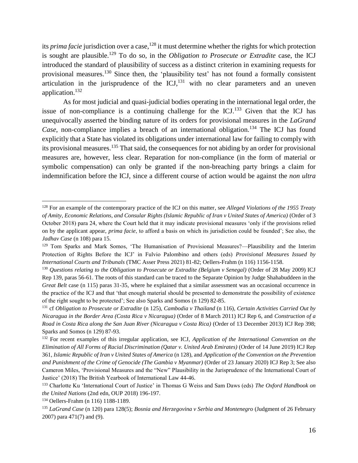its *prima facie* jurisdiction over a case, <sup>128</sup> it must determine whether the rights for which protection is sought are plausible.<sup>129</sup> To do so, in the *Obligation to Prosecute or Extradite* case, the ICJ introduced the standard of plausibility of success as a distinct criterion in examining requests for provisional measures.<sup>130</sup> Since then, the 'plausibility test' has not found a formally consistent articulation in the jurisprudence of the  $\text{ICJ}$ ,  $^{131}$  with no clear parameters and an uneven application.<sup>132</sup>

As for most judicial and quasi-judicial bodies operating in the international legal order, the issue of non-compliance is a continuing challenge for the  $\text{ICJ}$ .<sup>133</sup> Given that the ICJ has unequivocally asserted the binding nature of its orders for provisional measures in the *LaGrand Case*, non-compliance implies a breach of an international obligation.<sup>134</sup> The ICJ has found explicitly that a State has violated its obligations under international law for failing to comply with its provisional measures.<sup>135</sup> That said, the consequences for not abiding by an order for provisional measures are, however, less clear. Reparation for non-compliance (in the form of material or symbolic compensation) can only be granted if the non-breaching party brings a claim for indemnification before the ICJ, since a different course of action would be against the *non ultra* 

<sup>128</sup> For an example of the contemporary practice of the ICJ on this matter, see *Alleged Violations of the 1955 Treaty of Amity, Economic Relations, and Consular Rights (Islamic Republic of Iran v United States of America)* (Order of 3 October 2018) para 24, where the Court held that it may indicate provisional measures 'only if the provisions relied on by the applicant appear, *prima facie*, to afford a basis on which its jurisdiction could be founded'; See also, the *Jadhav Case* (n 108) para 15.

<sup>129</sup> Tom Sparks and Mark Somos, 'The Humanisation of Provisional Measures?—Plausibility and the Interim Protection of Rights Before the ICJ' in Fulvio Palombino and others (eds) *Provisional Measures Issued by International Courts and Tribunals* (TMC Asser Press 2021) 81-82; Oellers-Frahm (n 116) 1156-1158.

<sup>130</sup> *Questions relating to the Obligation to Prosecute or Extradite (Belgium v Senegal)* (Order of 28 May 2009) ICJ Rep 139, paras 56-61. The roots of this standard can be traced to the Separate Opinion by Judge Shahabuddeen in the *Great Belt* case (n 115) paras 31-35, where he explained that a similar assessment was an occasional occurrence in the practice of the ICJ and that 'that enough material should be presented to demonstrate the possibility of existence of the right sought to be protected'; See also Sparks and Somos (n 129) 82-85.

<sup>131</sup> cf *Obligation to Prosecute or Extradite* (n 125), *Cambodia v Thailand* (n 116), *Certain Activities Carried Out by Nicaragua in the Border Area (Costa Rica v Nicaragua)* (Order of 8 March 2011) ICJ Rep 6, and *Construction of a Road in Costa Rica along the San Juan River (Nicaragua v Costa Rica)* (Order of 13 December 2013) ICJ Rep 398; Sparks and Somos (n 129) 87-93.

<sup>132</sup> For recent examples of this irregular application, see ICJ, *Application of the International Convention on the Elimination of All Forms of Racial Discrimination (Qatar v. United Arab Emirates)* (Order of 14 June 2019) ICJ Rep 361, *Islamic Republic of Iran v United States of America* (n 128), and *Application of the Convention on the Prevention and Punishment of the Crime of Genocide (The Gambia v Myanmar)* (Order of 23 January 2020) ICJ Rep 3; See also Cameron Miles, 'Provisional Measures and the "New" Plausibility in the Jurisprudence of the International Court of Justice' (2018) The British Yearbook of International Law 44-46.

<sup>133</sup> Charlotte Ku 'International Court of Justice' in Thomas G Weiss and Sam Daws (eds) *The Oxford Handbook on the United Nations* (2nd edn, OUP 2018) 196-197.

<sup>134</sup> Oellers-Frahm (n 116) 1188-1189.

<sup>135</sup> *LaGrand Case* (n 120) para 128(5); *Bosnia and Herzegovina v Serbia and Montenegro* (Judgment of 26 February 2007) para 471(7) and (9).